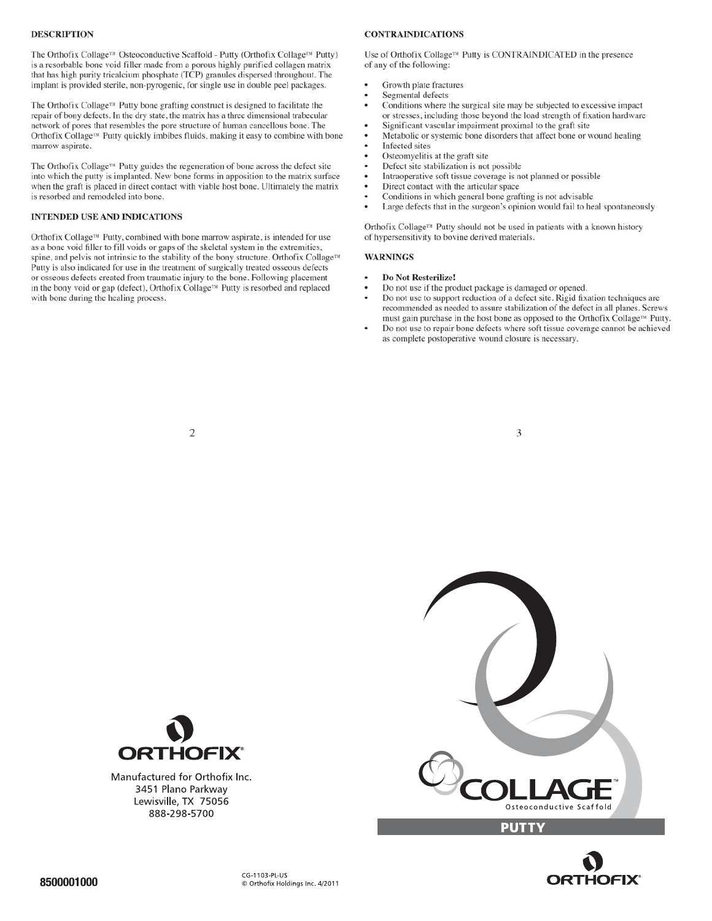# **DESCRIPTION**

The Orthofix Collage<sup>TM</sup> Osteoconductive Scaffold - Putty (Orthofix Collage<sup>TM</sup> Putty) is a resorbable bone void filler made from a porous highly purified collagen matrix that has high purity tricalcium phosphate (TCP) granules dispersed throughout. The implant is provided sterile, non-pyrogenic, for single use in double peel packages.

The Orthofix Collage<sup>TM</sup> Putty bone grafting construct is designed to facilitate the repair of bony defects. In the dry state, the matrix has a three dimensional trabecular as complete postoperative wound contains the complete postoperative with b  $\Omega$  not use to repair  $\Omega$  and  $\Omega$  and  $\Omega$  is the action of tissue coverage cannot be achieved achieved  $\Omega$ Putty. ™ must gain purchase in the host bone as opposed to the Orthofix Collage

The Orthofix Collage<sup>rM</sup> Putty guides the regeneration of bone across the defect site into which the putty is implanted. New bone forms in apposition to the matrix surface when the graft is placed in direct contact with viable host bone. Ultimately the matrix is resorbed and remodeled into bone.

# **INTENDED USE AND INDICATIONS**

 $\sum_{i=1}^{n}$ Direct Contact contact contact contact the article contact with the article contact with the article contact to the article contact the article contact the article contact the article contact the article contact the articl or osseous defects created from traumatic injury to the bone. Following placement spine, and pelvis not intrinsic to the stability of the bony structure. Orthof ix Collage<sup>TM</sup> Putty is also indicated for use in the treatment of surgically treated osseous defects as a bone void filler to fill voids or gaps of the skeletal system in the extremities, Orthofix Collage<sup>TM</sup> Putty, combined with bone marrow aspirate, is intended for use

# **CONTRAINDICATIONS**

Use of Orthofix Collage<sup>TM</sup> Putty is CONTRAINDICATED in the presence of any of the following:

- Growth plate fractures
- Segmental defects
- Conditions where the surgical site may be subjected to excessive impact or stresses, including those beyond the load strength of fixation hardware
- Significant vascular impairment proximal to the graft site
- Metabolic or systemic bone disorders that affect bone or wound healing
- Infected sites
- Osteomyelitis at the graft site
- Defect site stabilization is not possible  $\ddot{\phantom{0}}$
- Direct contact with the articular space Intraoperative soft tissue coverage is not planned or possible
- Conditions in which general bone grafting is not advisable
- $\Gamma$  are defects that in the surgeon's opinion would fail to heal spontaneously

of hypersensitivity to bovine derived materials. Orthofix Collage<sup>rM</sup> Putty should not be used in patients with a known history

mage externs not in the staggern stephen women man of the spontaneously

## **WARNINGS**

- 
- Do Not Resterilize!<br>Do not use if the product package is damaged or opened.
- recommended as needed to assure stabilization of the defect in all planes. Screws Do not use to support reduction of a defect site. Rigid fixation techniques are
- ellows bound bone. The other that resembles that resembles the port structure of  $\mathcal{L}_{\mathcal{A}}$ put the putty indicate is easy to combine the compiled to complete postmerative wound closure is necessary. must gain purchase in the host bone as opposed to the Orthofix Collage<sup>TM</sup> Putty.<br>Do not use to repair bone defects where soft tissue coverage cannot be achieved

3

 $\overline{2}$ 







Manufactured for Orthofix Inc. 3451 Plano Parkway Lewisville, TX 75056 888-298-5700